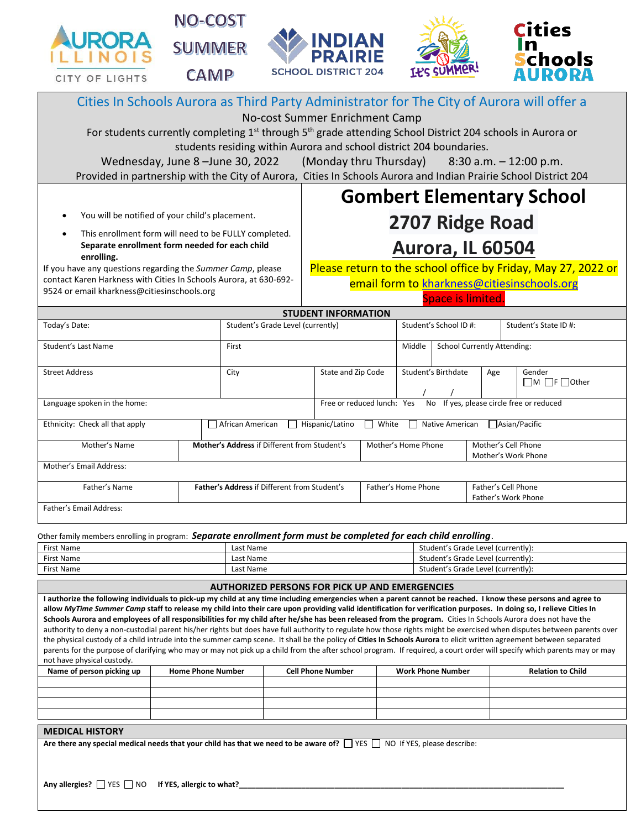







| Cities In Schools Aurora as Third Party Administrator for The City of Aurora will offer a                                                                                                                                                                                                                                                                                                                                                                                                                                                                                                                                                                                                                                                                                                                                                                                                                                                                                                                                                                          |                                                       |                                                               |                                             |                                            |                                            |                                  |  |  |
|--------------------------------------------------------------------------------------------------------------------------------------------------------------------------------------------------------------------------------------------------------------------------------------------------------------------------------------------------------------------------------------------------------------------------------------------------------------------------------------------------------------------------------------------------------------------------------------------------------------------------------------------------------------------------------------------------------------------------------------------------------------------------------------------------------------------------------------------------------------------------------------------------------------------------------------------------------------------------------------------------------------------------------------------------------------------|-------------------------------------------------------|---------------------------------------------------------------|---------------------------------------------|--------------------------------------------|--------------------------------------------|----------------------------------|--|--|
| No-cost Summer Enrichment Camp<br>For students currently completing 1 <sup>st</sup> through 5 <sup>th</sup> grade attending School District 204 schools in Aurora or                                                                                                                                                                                                                                                                                                                                                                                                                                                                                                                                                                                                                                                                                                                                                                                                                                                                                               |                                                       |                                                               |                                             |                                            |                                            |                                  |  |  |
| students residing within Aurora and school district 204 boundaries.                                                                                                                                                                                                                                                                                                                                                                                                                                                                                                                                                                                                                                                                                                                                                                                                                                                                                                                                                                                                |                                                       |                                                               |                                             |                                            |                                            |                                  |  |  |
| (Monday thru Thursday)<br>Wednesday, June 8-June 30, 2022<br>$8:30$ a.m. $-12:00$ p.m.                                                                                                                                                                                                                                                                                                                                                                                                                                                                                                                                                                                                                                                                                                                                                                                                                                                                                                                                                                             |                                                       |                                                               |                                             |                                            |                                            |                                  |  |  |
| Provided in partnership with the City of Aurora, Cities In Schools Aurora and Indian Prairie School District 204                                                                                                                                                                                                                                                                                                                                                                                                                                                                                                                                                                                                                                                                                                                                                                                                                                                                                                                                                   |                                                       |                                                               |                                             |                                            |                                            |                                  |  |  |
|                                                                                                                                                                                                                                                                                                                                                                                                                                                                                                                                                                                                                                                                                                                                                                                                                                                                                                                                                                                                                                                                    |                                                       |                                                               |                                             |                                            |                                            | <b>Gombert Elementary School</b> |  |  |
| You will be notified of your child's placement.                                                                                                                                                                                                                                                                                                                                                                                                                                                                                                                                                                                                                                                                                                                                                                                                                                                                                                                                                                                                                    |                                                       | 2707 Ridge Road                                               |                                             |                                            |                                            |                                  |  |  |
| This enrollment form will need to be FULLY completed.<br>$\bullet$                                                                                                                                                                                                                                                                                                                                                                                                                                                                                                                                                                                                                                                                                                                                                                                                                                                                                                                                                                                                 |                                                       |                                                               |                                             |                                            |                                            |                                  |  |  |
| Separate enrollment form needed for each child<br>enrolling.                                                                                                                                                                                                                                                                                                                                                                                                                                                                                                                                                                                                                                                                                                                                                                                                                                                                                                                                                                                                       |                                                       | <b>Aurora, IL 60504</b>                                       |                                             |                                            |                                            |                                  |  |  |
| If you have any questions regarding the Summer Camp, please                                                                                                                                                                                                                                                                                                                                                                                                                                                                                                                                                                                                                                                                                                                                                                                                                                                                                                                                                                                                        |                                                       | Please return to the school office by Friday, May 27, 2022 or |                                             |                                            |                                            |                                  |  |  |
| contact Karen Harkness with Cities In Schools Aurora, at 630-692-<br>9524 or email kharkness@citiesinschools.org                                                                                                                                                                                                                                                                                                                                                                                                                                                                                                                                                                                                                                                                                                                                                                                                                                                                                                                                                   |                                                       |                                                               | email form to kharkness@citiesinschools.org |                                            |                                            |                                  |  |  |
|                                                                                                                                                                                                                                                                                                                                                                                                                                                                                                                                                                                                                                                                                                                                                                                                                                                                                                                                                                                                                                                                    |                                                       |                                                               |                                             |                                            | Space is limited.                          |                                  |  |  |
|                                                                                                                                                                                                                                                                                                                                                                                                                                                                                                                                                                                                                                                                                                                                                                                                                                                                                                                                                                                                                                                                    |                                                       | <b>STUDENT INFORMATION</b>                                    |                                             |                                            |                                            |                                  |  |  |
| Today's Date:                                                                                                                                                                                                                                                                                                                                                                                                                                                                                                                                                                                                                                                                                                                                                                                                                                                                                                                                                                                                                                                      |                                                       | Student's Grade Level (currently)                             |                                             | Student's School ID #:                     |                                            | Student's State ID#:             |  |  |
| <b>Student's Last Name</b>                                                                                                                                                                                                                                                                                                                                                                                                                                                                                                                                                                                                                                                                                                                                                                                                                                                                                                                                                                                                                                         | First                                                 |                                                               |                                             | Middle                                     | <b>School Currently Attending:</b>         |                                  |  |  |
| <b>Street Address</b>                                                                                                                                                                                                                                                                                                                                                                                                                                                                                                                                                                                                                                                                                                                                                                                                                                                                                                                                                                                                                                              | City                                                  | State and Zip Code                                            |                                             | Student's Birthdate<br>Age                 |                                            | Gender                           |  |  |
|                                                                                                                                                                                                                                                                                                                                                                                                                                                                                                                                                                                                                                                                                                                                                                                                                                                                                                                                                                                                                                                                    |                                                       |                                                               |                                             | $\Box$ M $\Box$ F $\Box$ Other             |                                            |                                  |  |  |
| No If yes, please circle free or reduced<br>Free or reduced lunch: Yes<br>Language spoken in the home:                                                                                                                                                                                                                                                                                                                                                                                                                                                                                                                                                                                                                                                                                                                                                                                                                                                                                                                                                             |                                                       |                                                               |                                             |                                            |                                            |                                  |  |  |
| Ethnicity: Check all that apply                                                                                                                                                                                                                                                                                                                                                                                                                                                                                                                                                                                                                                                                                                                                                                                                                                                                                                                                                                                                                                    | African American                                      | Hispanic/Latino                                               | $\Box$ White                                | Native American<br>$\perp$                 |                                            | Asian/Pacific                    |  |  |
| Mother's Name                                                                                                                                                                                                                                                                                                                                                                                                                                                                                                                                                                                                                                                                                                                                                                                                                                                                                                                                                                                                                                                      |                                                       | Mother's Address if Different from Student's                  |                                             | Mother's Home Phone                        | Mother's Cell Phone<br>Mother's Work Phone |                                  |  |  |
| Mother's Email Address:                                                                                                                                                                                                                                                                                                                                                                                                                                                                                                                                                                                                                                                                                                                                                                                                                                                                                                                                                                                                                                            |                                                       |                                                               |                                             |                                            |                                            |                                  |  |  |
| Father's Name                                                                                                                                                                                                                                                                                                                                                                                                                                                                                                                                                                                                                                                                                                                                                                                                                                                                                                                                                                                                                                                      | Father's Address if Different from Student's          | Father's Home Phone                                           |                                             | Father's Cell Phone<br>Father's Work Phone |                                            |                                  |  |  |
| Father's Email Address:                                                                                                                                                                                                                                                                                                                                                                                                                                                                                                                                                                                                                                                                                                                                                                                                                                                                                                                                                                                                                                            |                                                       |                                                               |                                             |                                            |                                            |                                  |  |  |
| Other family members enrolling in program: Separate enrollment form must be completed for each child enrolling.                                                                                                                                                                                                                                                                                                                                                                                                                                                                                                                                                                                                                                                                                                                                                                                                                                                                                                                                                    |                                                       |                                                               |                                             |                                            |                                            |                                  |  |  |
| First Name                                                                                                                                                                                                                                                                                                                                                                                                                                                                                                                                                                                                                                                                                                                                                                                                                                                                                                                                                                                                                                                         | Last Name                                             |                                                               |                                             |                                            | Student's Grade Level (currently):         |                                  |  |  |
| First Name                                                                                                                                                                                                                                                                                                                                                                                                                                                                                                                                                                                                                                                                                                                                                                                                                                                                                                                                                                                                                                                         | Last Name<br>Last Name                                |                                                               |                                             |                                            | Student's Grade Level (currently):         |                                  |  |  |
| First Name                                                                                                                                                                                                                                                                                                                                                                                                                                                                                                                                                                                                                                                                                                                                                                                                                                                                                                                                                                                                                                                         | Student's Grade Level (currently):                    |                                                               |                                             |                                            |                                            |                                  |  |  |
|                                                                                                                                                                                                                                                                                                                                                                                                                                                                                                                                                                                                                                                                                                                                                                                                                                                                                                                                                                                                                                                                    | <b>AUTHORIZED PERSONS FOR PICK UP AND EMERGENCIES</b> |                                                               |                                             |                                            |                                            |                                  |  |  |
| I authorize the following individuals to pick-up my child at any time including emergencies when a parent cannot be reached. I know these persons and agree to<br>allow MyTime Summer Camp staff to release my child into their care upon providing valid identification for verification purposes. In doing so, I relieve Cities In<br>Schools Aurora and employees of all responsibilities for my child after he/she has been released from the program. Cities In Schools Aurora does not have the<br>authority to deny a non-custodial parent his/her rights but does have full authority to regulate how those rights might be exercised when disputes between parents over<br>the physical custody of a child intrude into the summer camp scene. It shall be the policy of Cities In Schools Aurora to elicit written agreement between separated<br>parents for the purpose of clarifying who may or may not pick up a child from the after school program. If required, a court order will specify which parents may or may<br>not have physical custody. |                                                       |                                                               |                                             |                                            |                                            |                                  |  |  |

| Name of person picking up | <b>Home Phone Number</b> | <b>Cell Phone Number</b> | <b>Work Phone Number</b> | <b>Relation to Child</b> |
|---------------------------|--------------------------|--------------------------|--------------------------|--------------------------|
|                           |                          |                          |                          |                          |
|                           |                          |                          |                          |                          |
|                           |                          |                          |                          |                          |
|                           |                          |                          |                          |                          |

## **MEDICAL HISTORY**

Are there any special medical needs that your child has that we need to be aware of?  $\Box$  YES  $\Box$  NO If YES, please describe: